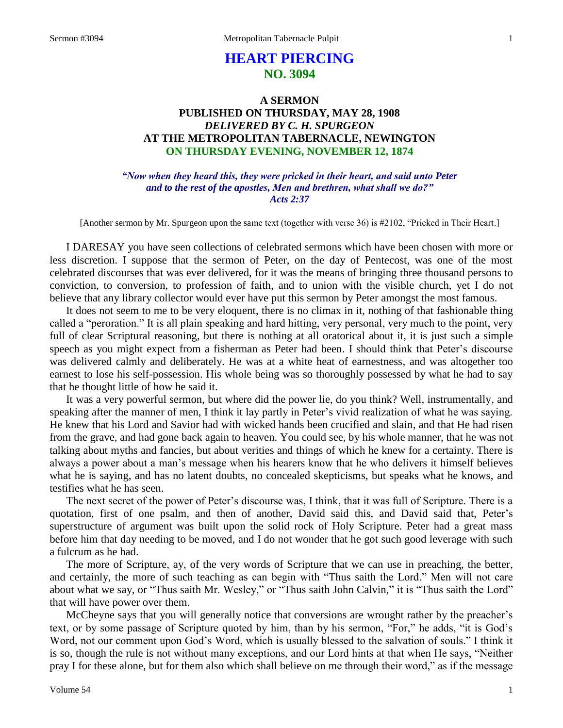# **HEART PIERCING NO. 3094**

## **A SERMON PUBLISHED ON THURSDAY, MAY 28, 1908** *DELIVERED BY C. H. SPURGEON* **AT THE METROPOLITAN TABERNACLE, NEWINGTON ON THURSDAY EVENING, NOVEMBER 12, 1874**

*"Now when they heard this, they were pricked in their heart, and said unto Peter and to the rest of the apostles, Men and brethren, what shall we do?" Acts 2:37*

[Another sermon by Mr. Spurgeon upon the same text (together with verse 36) is #2102, "Pricked in Their Heart.]

I DARESAY you have seen collections of celebrated sermons which have been chosen with more or less discretion. I suppose that the sermon of Peter, on the day of Pentecost, was one of the most celebrated discourses that was ever delivered, for it was the means of bringing three thousand persons to conviction, to conversion, to profession of faith, and to union with the visible church, yet I do not believe that any library collector would ever have put this sermon by Peter amongst the most famous.

It does not seem to me to be very eloquent, there is no climax in it, nothing of that fashionable thing called a "peroration." It is all plain speaking and hard hitting, very personal, very much to the point, very full of clear Scriptural reasoning, but there is nothing at all oratorical about it, it is just such a simple speech as you might expect from a fisherman as Peter had been. I should think that Peter's discourse was delivered calmly and deliberately. He was at a white heat of earnestness, and was altogether too earnest to lose his self-possession. His whole being was so thoroughly possessed by what he had to say that he thought little of how he said it.

It was a very powerful sermon, but where did the power lie, do you think? Well, instrumentally, and speaking after the manner of men, I think it lay partly in Peter's vivid realization of what he was saying. He knew that his Lord and Savior had with wicked hands been crucified and slain, and that He had risen from the grave, and had gone back again to heaven. You could see, by his whole manner, that he was not talking about myths and fancies, but about verities and things of which he knew for a certainty. There is always a power about a man's message when his hearers know that he who delivers it himself believes what he is saying, and has no latent doubts, no concealed skepticisms, but speaks what he knows, and testifies what he has seen.

The next secret of the power of Peter's discourse was, I think, that it was full of Scripture. There is a quotation, first of one psalm, and then of another, David said this, and David said that, Peter's superstructure of argument was built upon the solid rock of Holy Scripture. Peter had a great mass before him that day needing to be moved, and I do not wonder that he got such good leverage with such a fulcrum as he had.

The more of Scripture, ay, of the very words of Scripture that we can use in preaching, the better, and certainly, the more of such teaching as can begin with "Thus saith the Lord." Men will not care about what we say, or "Thus saith Mr. Wesley," or "Thus saith John Calvin," it is "Thus saith the Lord" that will have power over them.

McCheyne says that you will generally notice that conversions are wrought rather by the preacher's text, or by some passage of Scripture quoted by him, than by his sermon, "For," he adds, "it is God's Word, not our comment upon God's Word, which is usually blessed to the salvation of souls." I think it is so, though the rule is not without many exceptions, and our Lord hints at that when He says, "Neither pray I for these alone, but for them also which shall believe on me through their word," as if the message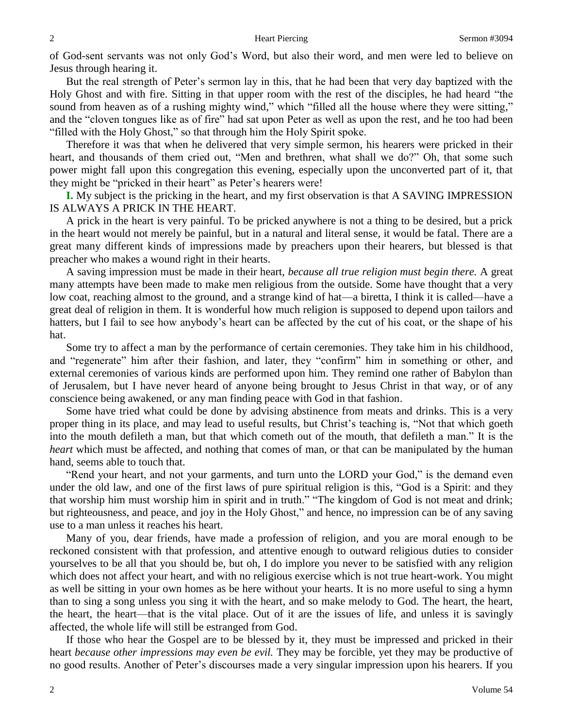of God-sent servants was not only God's Word, but also their word, and men were led to believe on Jesus through hearing it.

But the real strength of Peter's sermon lay in this, that he had been that very day baptized with the Holy Ghost and with fire. Sitting in that upper room with the rest of the disciples, he had heard "the sound from heaven as of a rushing mighty wind," which "filled all the house where they were sitting," and the "cloven tongues like as of fire" had sat upon Peter as well as upon the rest, and he too had been

"filled with the Holy Ghost," so that through him the Holy Spirit spoke.

Therefore it was that when he delivered that very simple sermon, his hearers were pricked in their heart, and thousands of them cried out, "Men and brethren, what shall we do?" Oh, that some such power might fall upon this congregation this evening, especially upon the unconverted part of it, that they might be "pricked in their heart" as Peter's hearers were!

**I.** My subject is the pricking in the heart, and my first observation is that A SAVING IMPRESSION IS ALWAYS A PRICK IN THE HEART.

A prick in the heart is very painful. To be pricked anywhere is not a thing to be desired, but a prick in the heart would not merely be painful, but in a natural and literal sense, it would be fatal. There are a great many different kinds of impressions made by preachers upon their hearers, but blessed is that preacher who makes a wound right in their hearts.

A saving impression must be made in their heart, *because all true religion must begin there.* A great many attempts have been made to make men religious from the outside. Some have thought that a very low coat, reaching almost to the ground, and a strange kind of hat—a biretta, I think it is called—have a great deal of religion in them. It is wonderful how much religion is supposed to depend upon tailors and hatters, but I fail to see how anybody's heart can be affected by the cut of his coat, or the shape of his hat.

Some try to affect a man by the performance of certain ceremonies. They take him in his childhood, and "regenerate" him after their fashion, and later, they "confirm" him in something or other, and external ceremonies of various kinds are performed upon him. They remind one rather of Babylon than of Jerusalem, but I have never heard of anyone being brought to Jesus Christ in that way, or of any conscience being awakened, or any man finding peace with God in that fashion.

Some have tried what could be done by advising abstinence from meats and drinks. This is a very proper thing in its place, and may lead to useful results, but Christ's teaching is, "Not that which goeth into the mouth defileth a man, but that which cometh out of the mouth, that defileth a man." It is the *heart* which must be affected, and nothing that comes of man, or that can be manipulated by the human hand, seems able to touch that.

"Rend your heart, and not your garments, and turn unto the LORD your God," is the demand even under the old law, and one of the first laws of pure spiritual religion is this, "God is a Spirit: and they that worship him must worship him in spirit and in truth." "The kingdom of God is not meat and drink; but righteousness, and peace, and joy in the Holy Ghost," and hence, no impression can be of any saving use to a man unless it reaches his heart.

Many of you, dear friends, have made a profession of religion, and you are moral enough to be reckoned consistent with that profession, and attentive enough to outward religious duties to consider yourselves to be all that you should be, but oh, I do implore you never to be satisfied with any religion which does not affect your heart, and with no religious exercise which is not true heart-work. You might as well be sitting in your own homes as be here without your hearts. It is no more useful to sing a hymn than to sing a song unless you sing it with the heart, and so make melody to God. The heart, the heart, the heart, the heart—that is the vital place. Out of it are the issues of life, and unless it is savingly affected, the whole life will still be estranged from God.

If those who hear the Gospel are to be blessed by it, they must be impressed and pricked in their heart *because other impressions may even be evil.* They may be forcible, yet they may be productive of no good results. Another of Peter's discourses made a very singular impression upon his hearers. If you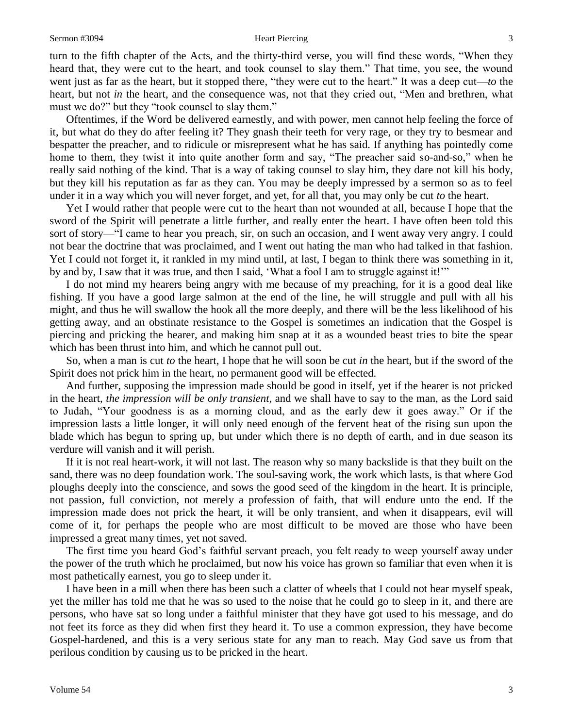turn to the fifth chapter of the Acts, and the thirty-third verse, you will find these words, "When they heard that, they were cut to the heart, and took counsel to slay them." That time, you see, the wound went just as far as the heart, but it stopped there, "they were cut to the heart." It was a deep cut—*to* the heart, but not *in* the heart, and the consequence was, not that they cried out, "Men and brethren, what must we do?" but they "took counsel to slay them."

Oftentimes, if the Word be delivered earnestly, and with power, men cannot help feeling the force of it, but what do they do after feeling it? They gnash their teeth for very rage, or they try to besmear and bespatter the preacher, and to ridicule or misrepresent what he has said. If anything has pointedly come home to them, they twist it into quite another form and say, "The preacher said so-and-so," when he really said nothing of the kind. That is a way of taking counsel to slay him, they dare not kill his body, but they kill his reputation as far as they can. You may be deeply impressed by a sermon so as to feel under it in a way which you will never forget, and yet, for all that, you may only be cut *to* the heart.

Yet I would rather that people were cut to the heart than not wounded at all, because I hope that the sword of the Spirit will penetrate a little further, and really enter the heart. I have often been told this sort of story—"I came to hear you preach, sir, on such an occasion, and I went away very angry. I could not bear the doctrine that was proclaimed, and I went out hating the man who had talked in that fashion. Yet I could not forget it, it rankled in my mind until, at last, I began to think there was something in it, by and by, I saw that it was true, and then I said, 'What a fool I am to struggle against it!'"

I do not mind my hearers being angry with me because of my preaching, for it is a good deal like fishing. If you have a good large salmon at the end of the line, he will struggle and pull with all his might, and thus he will swallow the hook all the more deeply, and there will be the less likelihood of his getting away, and an obstinate resistance to the Gospel is sometimes an indication that the Gospel is piercing and pricking the hearer, and making him snap at it as a wounded beast tries to bite the spear which has been thrust into him, and which he cannot pull out.

So, when a man is cut *to* the heart, I hope that he will soon be cut *in* the heart, but if the sword of the Spirit does not prick him in the heart, no permanent good will be effected.

And further, supposing the impression made should be good in itself, yet if the hearer is not pricked in the heart, *the impression will be only transient,* and we shall have to say to the man, as the Lord said to Judah, "Your goodness is as a morning cloud, and as the early dew it goes away." Or if the impression lasts a little longer, it will only need enough of the fervent heat of the rising sun upon the blade which has begun to spring up, but under which there is no depth of earth, and in due season its verdure will vanish and it will perish.

If it is not real heart-work, it will not last. The reason why so many backslide is that they built on the sand, there was no deep foundation work. The soul-saving work, the work which lasts, is that where God ploughs deeply into the conscience, and sows the good seed of the kingdom in the heart. It is principle, not passion, full conviction, not merely a profession of faith, that will endure unto the end. If the impression made does not prick the heart, it will be only transient, and when it disappears, evil will come of it, for perhaps the people who are most difficult to be moved are those who have been impressed a great many times, yet not saved.

The first time you heard God's faithful servant preach, you felt ready to weep yourself away under the power of the truth which he proclaimed, but now his voice has grown so familiar that even when it is most pathetically earnest, you go to sleep under it.

I have been in a mill when there has been such a clatter of wheels that I could not hear myself speak, yet the miller has told me that he was so used to the noise that he could go to sleep in it, and there are persons, who have sat so long under a faithful minister that they have got used to his message, and do not feet its force as they did when first they heard it. To use a common expression, they have become Gospel-hardened, and this is a very serious state for any man to reach. May God save us from that perilous condition by causing us to be pricked in the heart.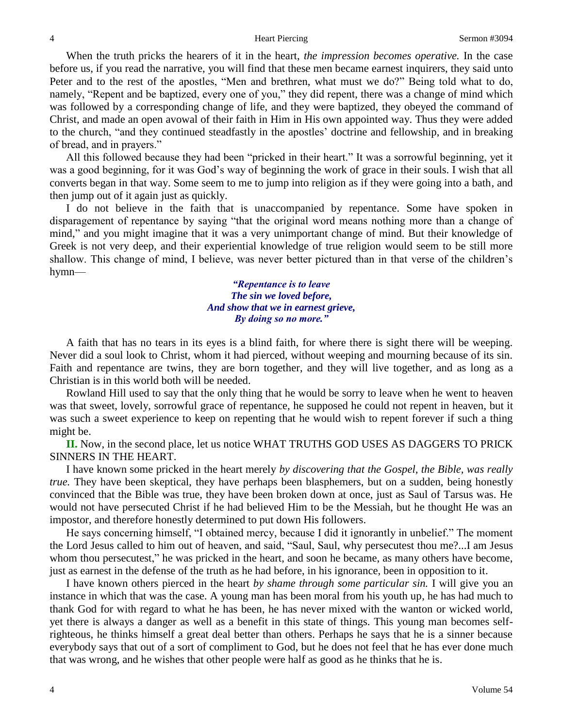When the truth pricks the hearers of it in the heart, *the impression becomes operative.* In the case before us, if you read the narrative, you will find that these men became earnest inquirers, they said unto Peter and to the rest of the apostles, "Men and brethren, what must we do?" Being told what to do, namely, "Repent and be baptized, every one of you," they did repent, there was a change of mind which was followed by a corresponding change of life, and they were baptized, they obeyed the command of Christ, and made an open avowal of their faith in Him in His own appointed way. Thus they were added to the church, "and they continued steadfastly in the apostles' doctrine and fellowship, and in breaking of bread, and in prayers."

All this followed because they had been "pricked in their heart." It was a sorrowful beginning, yet it was a good beginning, for it was God's way of beginning the work of grace in their souls. I wish that all converts began in that way. Some seem to me to jump into religion as if they were going into a bath, and then jump out of it again just as quickly.

I do not believe in the faith that is unaccompanied by repentance. Some have spoken in disparagement of repentance by saying "that the original word means nothing more than a change of mind," and you might imagine that it was a very unimportant change of mind. But their knowledge of Greek is not very deep, and their experiential knowledge of true religion would seem to be still more shallow. This change of mind, I believe, was never better pictured than in that verse of the children's hymn—

> *"Repentance is to leave The sin we loved before, And show that we in earnest grieve, By doing so no more."*

A faith that has no tears in its eyes is a blind faith, for where there is sight there will be weeping. Never did a soul look to Christ, whom it had pierced, without weeping and mourning because of its sin. Faith and repentance are twins, they are born together, and they will live together, and as long as a Christian is in this world both will be needed.

Rowland Hill used to say that the only thing that he would be sorry to leave when he went to heaven was that sweet, lovely, sorrowful grace of repentance, he supposed he could not repent in heaven, but it was such a sweet experience to keep on repenting that he would wish to repent forever if such a thing might be.

**II.** Now, in the second place, let us notice WHAT TRUTHS GOD USES AS DAGGERS TO PRICK SINNERS IN THE HEART.

I have known some pricked in the heart merely *by discovering that the Gospel, the Bible, was really true.* They have been skeptical, they have perhaps been blasphemers, but on a sudden, being honestly convinced that the Bible was true, they have been broken down at once, just as Saul of Tarsus was. He would not have persecuted Christ if he had believed Him to be the Messiah, but he thought He was an impostor, and therefore honestly determined to put down His followers.

He says concerning himself, "I obtained mercy, because I did it ignorantly in unbelief." The moment the Lord Jesus called to him out of heaven, and said, "Saul, Saul, why persecutest thou me?...I am Jesus whom thou persecutest," he was pricked in the heart, and soon he became, as many others have become, just as earnest in the defense of the truth as he had before, in his ignorance, been in opposition to it.

I have known others pierced in the heart *by shame through some particular sin.* I will give you an instance in which that was the case. A young man has been moral from his youth up, he has had much to thank God for with regard to what he has been, he has never mixed with the wanton or wicked world, yet there is always a danger as well as a benefit in this state of things. This young man becomes selfrighteous, he thinks himself a great deal better than others. Perhaps he says that he is a sinner because everybody says that out of a sort of compliment to God, but he does not feel that he has ever done much that was wrong, and he wishes that other people were half as good as he thinks that he is.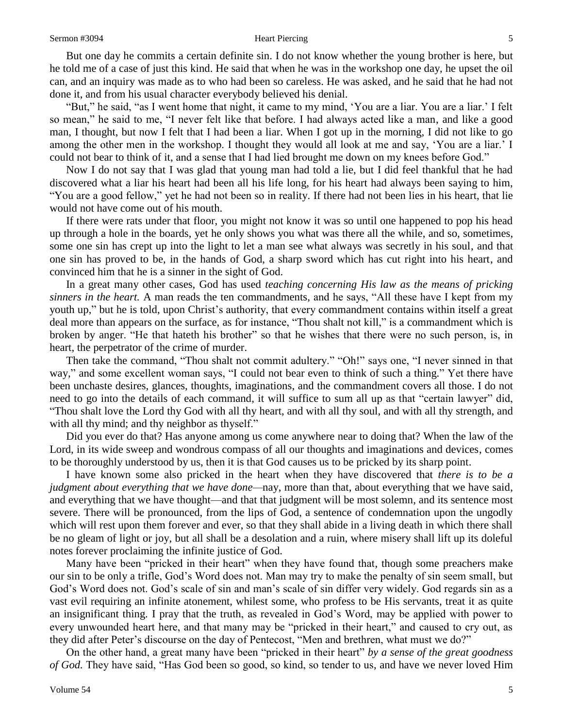But one day he commits a certain definite sin. I do not know whether the young brother is here, but he told me of a case of just this kind. He said that when he was in the workshop one day, he upset the oil can, and an inquiry was made as to who had been so careless. He was asked, and he said that he had not done it, and from his usual character everybody believed his denial.

"But," he said, "as I went home that night, it came to my mind, 'You are a liar. You are a liar.' I felt so mean," he said to me, "I never felt like that before. I had always acted like a man, and like a good man, I thought, but now I felt that I had been a liar. When I got up in the morning, I did not like to go among the other men in the workshop. I thought they would all look at me and say, 'You are a liar.' I could not bear to think of it, and a sense that I had lied brought me down on my knees before God."

Now I do not say that I was glad that young man had told a lie, but I did feel thankful that he had discovered what a liar his heart had been all his life long, for his heart had always been saying to him, "You are a good fellow," yet he had not been so in reality. If there had not been lies in his heart, that lie would not have come out of his mouth.

If there were rats under that floor, you might not know it was so until one happened to pop his head up through a hole in the boards, yet he only shows you what was there all the while, and so, sometimes, some one sin has crept up into the light to let a man see what always was secretly in his soul, and that one sin has proved to be, in the hands of God, a sharp sword which has cut right into his heart, and convinced him that he is a sinner in the sight of God.

In a great many other cases, God has used *teaching concerning His law as the means of pricking sinners in the heart.* A man reads the ten commandments, and he says, "All these have I kept from my youth up," but he is told, upon Christ's authority, that every commandment contains within itself a great deal more than appears on the surface, as for instance, "Thou shalt not kill," is a commandment which is broken by anger. "He that hateth his brother" so that he wishes that there were no such person, is, in heart, the perpetrator of the crime of murder.

Then take the command, "Thou shalt not commit adultery." "Oh!" says one, "I never sinned in that way," and some excellent woman says, "I could not bear even to think of such a thing." Yet there have been unchaste desires, glances, thoughts, imaginations, and the commandment covers all those. I do not need to go into the details of each command, it will suffice to sum all up as that "certain lawyer" did, "Thou shalt love the Lord thy God with all thy heart, and with all thy soul, and with all thy strength, and with all thy mind; and thy neighbor as thyself."

Did you ever do that? Has anyone among us come anywhere near to doing that? When the law of the Lord, in its wide sweep and wondrous compass of all our thoughts and imaginations and devices, comes to be thoroughly understood by us, then it is that God causes us to be pricked by its sharp point.

I have known some also pricked in the heart when they have discovered that *there is to be a judgment about everything that we have done—*nay, more than that, about everything that we have said, and everything that we have thought—and that that judgment will be most solemn, and its sentence most severe. There will be pronounced, from the lips of God, a sentence of condemnation upon the ungodly which will rest upon them forever and ever, so that they shall abide in a living death in which there shall be no gleam of light or joy, but all shall be a desolation and a ruin, where misery shall lift up its doleful notes forever proclaiming the infinite justice of God.

Many have been "pricked in their heart" when they have found that, though some preachers make our sin to be only a trifle, God's Word does not. Man may try to make the penalty of sin seem small, but God's Word does not. God's scale of sin and man's scale of sin differ very widely. God regards sin as a vast evil requiring an infinite atonement, whilest some, who profess to be His servants, treat it as quite an insignificant thing. I pray that the truth, as revealed in God's Word, may be applied with power to every unwounded heart here, and that many may be "pricked in their heart," and caused to cry out, as they did after Peter's discourse on the day of Pentecost, "Men and brethren, what must we do?"

On the other hand, a great many have been "pricked in their heart" *by a sense of the great goodness of God.* They have said, "Has God been so good, so kind, so tender to us, and have we never loved Him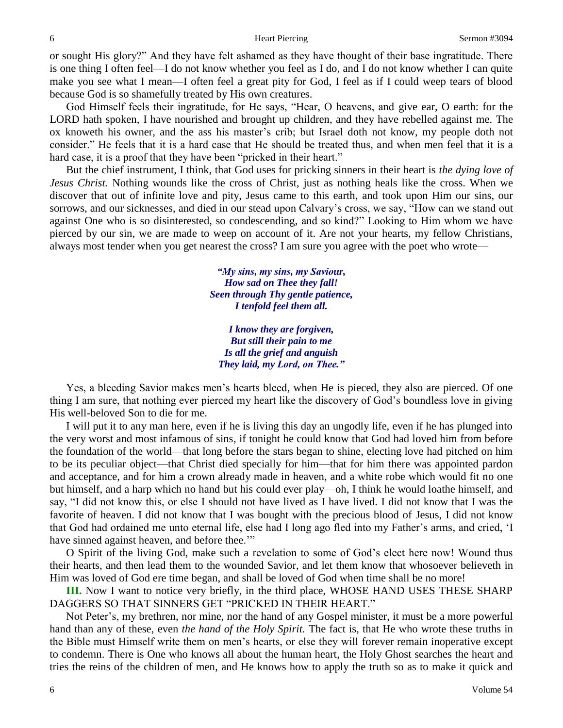or sought His glory?" And they have felt ashamed as they have thought of their base ingratitude. There is one thing I often feel—I do not know whether you feel as I do, and I do not know whether I can quite make you see what I mean—I often feel a great pity for God, I feel as if I could weep tears of blood because God is so shamefully treated by His own creatures.

God Himself feels their ingratitude, for He says, "Hear, O heavens, and give ear, O earth: for the LORD hath spoken, I have nourished and brought up children, and they have rebelled against me. The ox knoweth his owner, and the ass his master's crib; but Israel doth not know, my people doth not consider." He feels that it is a hard case that He should be treated thus, and when men feel that it is a hard case, it is a proof that they have been "pricked in their heart."

But the chief instrument, I think, that God uses for pricking sinners in their heart is *the dying love of Jesus Christ.* Nothing wounds like the cross of Christ, just as nothing heals like the cross. When we discover that out of infinite love and pity, Jesus came to this earth, and took upon Him our sins, our sorrows, and our sicknesses, and died in our stead upon Calvary's cross, we say, "How can we stand out against One who is so disinterested, so condescending, and so kind?" Looking to Him whom we have pierced by our sin, we are made to weep on account of it. Are not your hearts, my fellow Christians, always most tender when you get nearest the cross? I am sure you agree with the poet who wrote—

> *"My sins, my sins, my Saviour, How sad on Thee they fall! Seen through Thy gentle patience, I tenfold feel them all.*

*I know they are forgiven, But still their pain to me Is all the grief and anguish They laid, my Lord, on Thee."*

Yes, a bleeding Savior makes men's hearts bleed, when He is pieced, they also are pierced. Of one thing I am sure, that nothing ever pierced my heart like the discovery of God's boundless love in giving His well-beloved Son to die for me.

I will put it to any man here, even if he is living this day an ungodly life, even if he has plunged into the very worst and most infamous of sins, if tonight he could know that God had loved him from before the foundation of the world—that long before the stars began to shine, electing love had pitched on him to be its peculiar object—that Christ died specially for him—that for him there was appointed pardon and acceptance, and for him a crown already made in heaven, and a white robe which would fit no one but himself, and a harp which no hand but his could ever play—oh, I think he would loathe himself, and say, "I did not know this, or else I should not have lived as I have lived. I did not know that I was the favorite of heaven. I did not know that I was bought with the precious blood of Jesus, I did not know that God had ordained me unto eternal life, else had I long ago fled into my Father's arms, and cried, 'I have sinned against heaven, and before thee.""

O Spirit of the living God, make such a revelation to some of God's elect here now! Wound thus their hearts, and then lead them to the wounded Savior, and let them know that whosoever believeth in Him was loved of God ere time began, and shall be loved of God when time shall be no more!

**III.** Now I want to notice very briefly, in the third place, WHOSE HAND USES THESE SHARP DAGGERS SO THAT SINNERS GET "PRICKED IN THEIR HEART."

Not Peter's, my brethren, nor mine, nor the hand of any Gospel minister, it must be a more powerful hand than any of these, even *the hand of the Holy Spirit.* The fact is, that He who wrote these truths in the Bible must Himself write them on men's hearts, or else they will forever remain inoperative except to condemn. There is One who knows all about the human heart, the Holy Ghost searches the heart and tries the reins of the children of men, and He knows how to apply the truth so as to make it quick and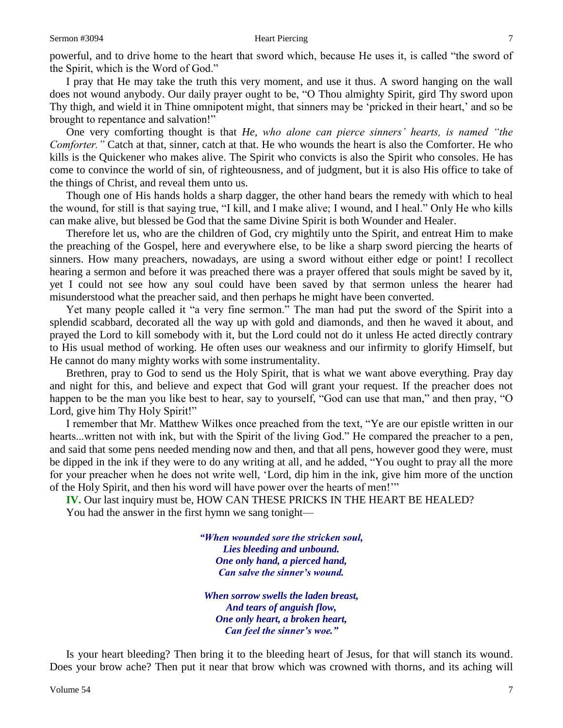### Sermon #3094 **Sermon #3094 Heart Piercing** *T*

powerful, and to drive home to the heart that sword which, because He uses it, is called "the sword of the Spirit, which is the Word of God."

I pray that He may take the truth this very moment, and use it thus. A sword hanging on the wall does not wound anybody. Our daily prayer ought to be, "O Thou almighty Spirit, gird Thy sword upon Thy thigh, and wield it in Thine omnipotent might, that sinners may be 'pricked in their heart,' and so be brought to repentance and salvation!"

One very comforting thought is that *He, who alone can pierce sinners' hearts, is named "the Comforter."* Catch at that, sinner, catch at that. He who wounds the heart is also the Comforter. He who kills is the Quickener who makes alive. The Spirit who convicts is also the Spirit who consoles. He has come to convince the world of sin, of righteousness, and of judgment, but it is also His office to take of the things of Christ, and reveal them unto us.

Though one of His hands holds a sharp dagger, the other hand bears the remedy with which to heal the wound, for still is that saying true, "I kill, and I make alive; I wound, and I heal." Only He who kills can make alive, but blessed be God that the same Divine Spirit is both Wounder and Healer.

Therefore let us, who are the children of God, cry mightily unto the Spirit, and entreat Him to make the preaching of the Gospel, here and everywhere else, to be like a sharp sword piercing the hearts of sinners. How many preachers, nowadays, are using a sword without either edge or point! I recollect hearing a sermon and before it was preached there was a prayer offered that souls might be saved by it, yet I could not see how any soul could have been saved by that sermon unless the hearer had misunderstood what the preacher said, and then perhaps he might have been converted.

Yet many people called it "a very fine sermon." The man had put the sword of the Spirit into a splendid scabbard, decorated all the way up with gold and diamonds, and then he waved it about, and prayed the Lord to kill somebody with it, but the Lord could not do it unless He acted directly contrary to His usual method of working. He often uses our weakness and our infirmity to glorify Himself, but He cannot do many mighty works with some instrumentality.

Brethren, pray to God to send us the Holy Spirit, that is what we want above everything. Pray day and night for this, and believe and expect that God will grant your request. If the preacher does not happen to be the man you like best to hear, say to yourself, "God can use that man," and then pray, "O Lord, give him Thy Holy Spirit!"

I remember that Mr. Matthew Wilkes once preached from the text, "Ye are our epistle written in our hearts...written not with ink, but with the Spirit of the living God." He compared the preacher to a pen, and said that some pens needed mending now and then, and that all pens, however good they were, must be dipped in the ink if they were to do any writing at all, and he added, "You ought to pray all the more for your preacher when he does not write well, 'Lord, dip him in the ink, give him more of the unction of the Holy Spirit, and then his word will have power over the hearts of men!'"

**IV.** Our last inquiry must be, HOW CAN THESE PRICKS IN THE HEART BE HEALED? You had the answer in the first hymn we sang tonight—

> *"When wounded sore the stricken soul, Lies bleeding and unbound. One only hand, a pierced hand, Can salve the sinner's wound.*

*When sorrow swells the laden breast, And tears of anguish flow, One only heart, a broken heart, Can feel the sinner's woe."*

Is your heart bleeding? Then bring it to the bleeding heart of Jesus, for that will stanch its wound. Does your brow ache? Then put it near that brow which was crowned with thorns, and its aching will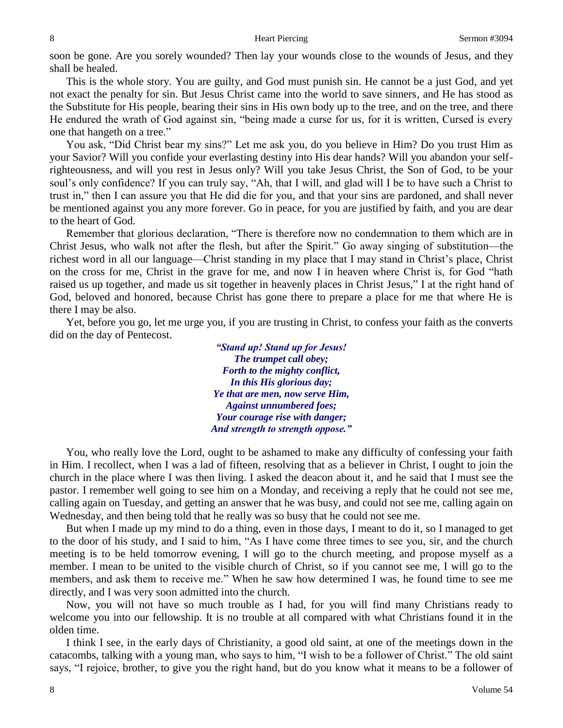soon be gone. Are you sorely wounded? Then lay your wounds close to the wounds of Jesus, and they shall be healed.

This is the whole story. You are guilty, and God must punish sin. He cannot be a just God, and yet not exact the penalty for sin. But Jesus Christ came into the world to save sinners, and He has stood as the Substitute for His people, bearing their sins in His own body up to the tree, and on the tree, and there He endured the wrath of God against sin, "being made a curse for us, for it is written, Cursed is every one that hangeth on a tree."

You ask, "Did Christ bear my sins?" Let me ask you, do you believe in Him? Do you trust Him as your Savior? Will you confide your everlasting destiny into His dear hands? Will you abandon your selfrighteousness, and will you rest in Jesus only? Will you take Jesus Christ, the Son of God, to be your soul's only confidence? If you can truly say, "Ah, that I will, and glad will I be to have such a Christ to trust in," then I can assure you that He did die for you, and that your sins are pardoned, and shall never be mentioned against you any more forever. Go in peace, for you are justified by faith, and you are dear to the heart of God.

Remember that glorious declaration, "There is therefore now no condemnation to them which are in Christ Jesus, who walk not after the flesh, but after the Spirit." Go away singing of substitution—the richest word in all our language—Christ standing in my place that I may stand in Christ's place, Christ on the cross for me, Christ in the grave for me, and now I in heaven where Christ is, for God "hath raised us up together, and made us sit together in heavenly places in Christ Jesus," I at the right hand of God, beloved and honored, because Christ has gone there to prepare a place for me that where He is there I may be also.

Yet, before you go, let me urge you, if you are trusting in Christ, to confess your faith as the converts did on the day of Pentecost.

> *"Stand up! Stand up for Jesus! The trumpet call obey; Forth to the mighty conflict, In this His glorious day; Ye that are men, now serve Him, Against unnumbered foes; Your courage rise with danger; And strength to strength oppose."*

You, who really love the Lord, ought to be ashamed to make any difficulty of confessing your faith in Him. I recollect, when I was a lad of fifteen, resolving that as a believer in Christ, I ought to join the church in the place where I was then living. I asked the deacon about it, and he said that I must see the pastor. I remember well going to see him on a Monday, and receiving a reply that he could not see me, calling again on Tuesday, and getting an answer that he was busy, and could not see me, calling again on Wednesday, and then being told that he really was so busy that he could not see me.

But when I made up my mind to do a thing, even in those days, I meant to do it, so I managed to get to the door of his study, and I said to him, "As I have come three times to see you, sir, and the church meeting is to be held tomorrow evening, I will go to the church meeting, and propose myself as a member. I mean to be united to the visible church of Christ, so if you cannot see me, I will go to the members, and ask them to receive me." When he saw how determined I was, he found time to see me directly, and I was very soon admitted into the church.

Now, you will not have so much trouble as I had, for you will find many Christians ready to welcome you into our fellowship. It is no trouble at all compared with what Christians found it in the olden time.

I think I see, in the early days of Christianity, a good old saint, at one of the meetings down in the catacombs, talking with a young man, who says to him, "I wish to be a follower of Christ." The old saint says, "I rejoice, brother, to give you the right hand, but do you know what it means to be a follower of